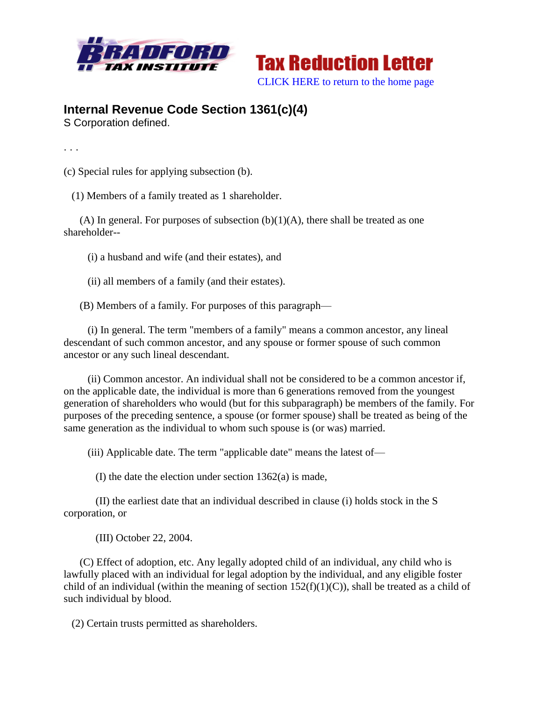



## **Internal Revenue Code Section 1361(c)(4)**

S Corporation defined.

. . .

(c) Special rules for applying subsection (b).

(1) Members of a family treated as 1 shareholder.

(A) In general. For purposes of subsection  $(b)(1)(A)$ , there shall be treated as one shareholder--

(i) a husband and wife (and their estates), and

(ii) all members of a family (and their estates).

(B) Members of a family. For purposes of this paragraph—

 (i) In general. The term "members of a family" means a common ancestor, any lineal descendant of such common ancestor, and any spouse or former spouse of such common ancestor or any such lineal descendant.

 (ii) Common ancestor. An individual shall not be considered to be a common ancestor if, on the applicable date, the individual is more than 6 generations removed from the youngest generation of shareholders who would (but for this subparagraph) be members of the family. For purposes of the preceding sentence, a spouse (or former spouse) shall be treated as being of the same generation as the individual to whom such spouse is (or was) married.

(iii) Applicable date. The term "applicable date" means the latest of—

(I) the date the election under section 1362(a) is made,

 (II) the earliest date that an individual described in clause (i) holds stock in the S corporation, or

(III) October 22, 2004.

 (C) Effect of adoption, etc. Any legally adopted child of an individual, any child who is lawfully placed with an individual for legal adoption by the individual, and any eligible foster child of an individual (within the meaning of section  $152(f)(1)(C)$ ), shall be treated as a child of such individual by blood.

(2) Certain trusts permitted as shareholders.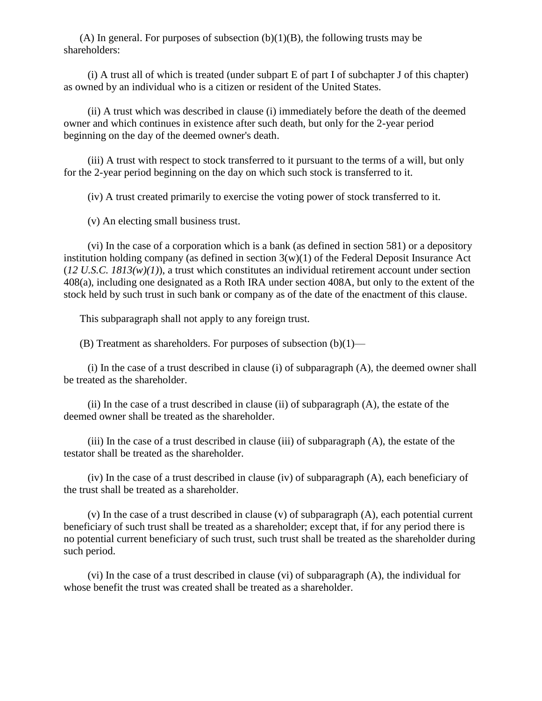(A) In general. For purposes of subsection  $(b)(1)(B)$ , the following trusts may be shareholders:

 (i) A trust all of which is treated (under subpart E of part I of subchapter J of this chapter) as owned by an individual who is a citizen or resident of the United States.

 (ii) A trust which was described in clause (i) immediately before the death of the deemed owner and which continues in existence after such death, but only for the 2-year period beginning on the day of the deemed owner's death.

 (iii) A trust with respect to stock transferred to it pursuant to the terms of a will, but only for the 2-year period beginning on the day on which such stock is transferred to it.

(iv) A trust created primarily to exercise the voting power of stock transferred to it.

(v) An electing small business trust.

 (vi) In the case of a corporation which is a bank (as defined in section 581) or a depository institution holding company (as defined in section  $3(w)(1)$  of the Federal Deposit Insurance Act  $(12 \text{ U.S. C. } 1813(w)(1))$ , a trust which constitutes an individual retirement account under section 408(a), including one designated as a Roth IRA under section 408A, but only to the extent of the stock held by such trust in such bank or company as of the date of the enactment of this clause.

This subparagraph shall not apply to any foreign trust.

(B) Treatment as shareholders. For purposes of subsection  $(b)(1)$ —

 (i) In the case of a trust described in clause (i) of subparagraph (A), the deemed owner shall be treated as the shareholder.

 (ii) In the case of a trust described in clause (ii) of subparagraph (A), the estate of the deemed owner shall be treated as the shareholder.

 (iii) In the case of a trust described in clause (iii) of subparagraph (A), the estate of the testator shall be treated as the shareholder.

 (iv) In the case of a trust described in clause (iv) of subparagraph (A), each beneficiary of the trust shall be treated as a shareholder.

 (v) In the case of a trust described in clause (v) of subparagraph (A), each potential current beneficiary of such trust shall be treated as a shareholder; except that, if for any period there is no potential current beneficiary of such trust, such trust shall be treated as the shareholder during such period.

 (vi) In the case of a trust described in clause (vi) of subparagraph (A), the individual for whose benefit the trust was created shall be treated as a shareholder.